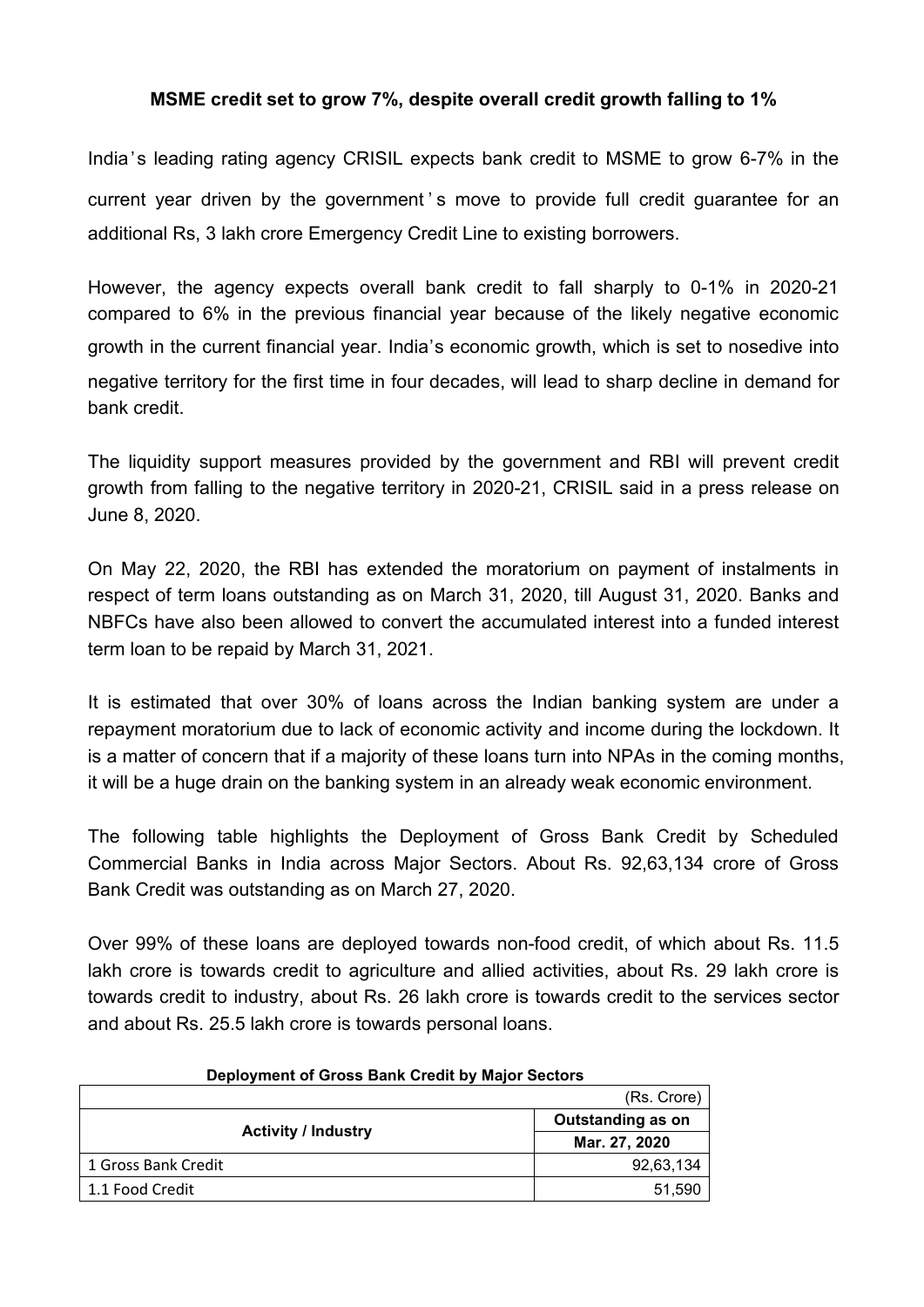# **MSME credit set to grow 7%, despite overall credit growth falling to 1%**

India's leading rating agency CRISIL expects bank credit to MSME to grow 6-7% in the current year driven by the government's move to provide full credit quarantee for an additional Rs, 3 lakh crore Emergency Credit Line to existing borrowers.

However, the agency expects overall bank credit to fall sharply to 0-1% in 2020-21 compared to 6% in the previous financial year because of the likely negative economic growth in the current financial year. India's economic growth, which is set to nosedive into negative territory for the first time in four decades, will lead to sharp decline in demand for bank credit.

The liquidity support measures provided by the government and RBI will prevent credit growth from falling to the negative territory in 2020-21, CRISIL said in a press release on June 8, 2020.

On May 22, 2020, the RBI has extended the moratorium on payment of instalments in respect of term loans outstanding as on March 31, 2020, till August 31, 2020. Banks and NBFCs have also been allowed to convert the accumulated interest into a funded interest term loan to be repaid by March 31, 2021.

It is estimated that over 30% of loans across the Indian banking system are under a repayment moratorium due to lack of economic activity and income during the lockdown. It is a matter of concern that if a majority of these loans turn into NPAs in the coming months, it will be a huge drain on the banking system in an already weak economic environment.

The following table highlights the Deployment of Gross Bank Credit by Scheduled Commercial Banks in India across Major Sectors. About Rs. 92,63,134 crore of Gross Bank Credit was outstanding as on March 27, 2020.

Over 99% of these loans are deployed towards non-food credit, of which about Rs. 11.5 lakh crore is towards credit to agriculture and allied activities, about Rs. 29 lakh crore is towards credit to industry, about Rs. 26 lakh crore is towards credit to the services sector and about Rs. 25.5 lakh crore is towards personal loans.

| <b>Pepicymont of Gross Bank Create by Major Cectors</b><br>(Rs. Crore) |                   |
|------------------------------------------------------------------------|-------------------|
| <b>Activity / Industry</b>                                             | Outstanding as on |
|                                                                        | Mar. 27, 2020     |
| 1 Gross Bank Credit                                                    | 92,63,134         |
| 1.1 Food Credit                                                        | 51,590            |

#### **Deployment of Gross Bank Credit by Major Sectors**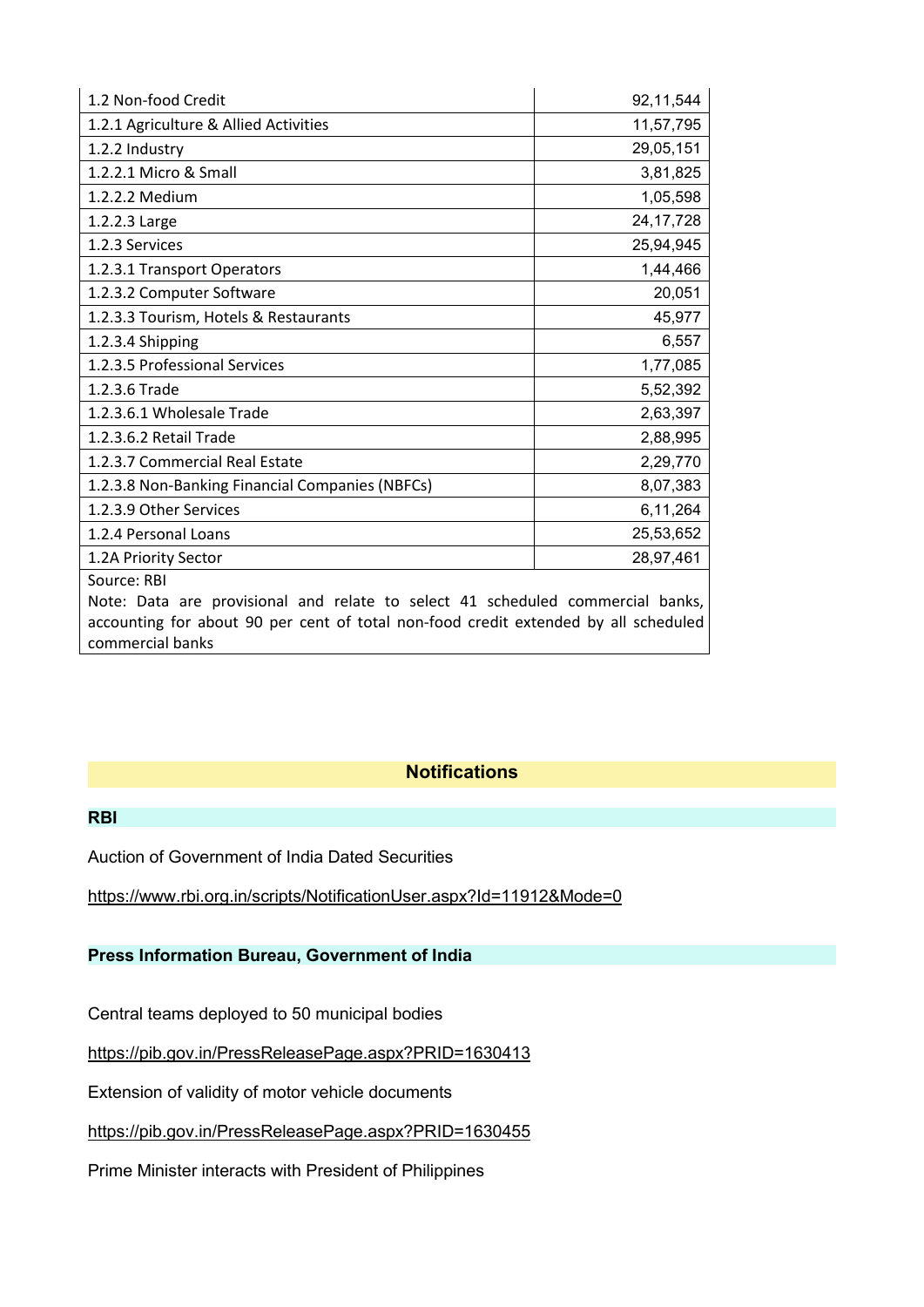| 1.2 Non-food Credit                                                                                                                                                                                      | 92,11,544   |  |
|----------------------------------------------------------------------------------------------------------------------------------------------------------------------------------------------------------|-------------|--|
| 1.2.1 Agriculture & Allied Activities                                                                                                                                                                    | 11,57,795   |  |
| 1.2.2 Industry                                                                                                                                                                                           | 29,05,151   |  |
| 1.2.2.1 Micro & Small                                                                                                                                                                                    | 3,81,825    |  |
| 1.2.2.2 Medium                                                                                                                                                                                           | 1,05,598    |  |
| 1.2.2.3 Large                                                                                                                                                                                            | 24, 17, 728 |  |
| 1.2.3 Services                                                                                                                                                                                           | 25,94,945   |  |
| 1.2.3.1 Transport Operators                                                                                                                                                                              | 1,44,466    |  |
| 1.2.3.2 Computer Software                                                                                                                                                                                | 20,051      |  |
| 1.2.3.3 Tourism, Hotels & Restaurants                                                                                                                                                                    | 45,977      |  |
| 1.2.3.4 Shipping                                                                                                                                                                                         | 6,557       |  |
| 1.2.3.5 Professional Services                                                                                                                                                                            | 1,77,085    |  |
| 1.2.3.6 Trade                                                                                                                                                                                            | 5,52,392    |  |
| 1.2.3.6.1 Wholesale Trade                                                                                                                                                                                | 2,63,397    |  |
| 1.2.3.6.2 Retail Trade                                                                                                                                                                                   | 2,88,995    |  |
| 1.2.3.7 Commercial Real Estate                                                                                                                                                                           | 2,29,770    |  |
| 1.2.3.8 Non-Banking Financial Companies (NBFCs)                                                                                                                                                          | 8,07,383    |  |
| 1.2.3.9 Other Services                                                                                                                                                                                   | 6,11,264    |  |
| 1.2.4 Personal Loans                                                                                                                                                                                     | 25,53,652   |  |
| 1.2A Priority Sector                                                                                                                                                                                     | 28,97,461   |  |
| Source: RBI<br>Note: Data are provisional and relate to select 41 scheduled commercial banks,<br>accounting for about 90 per cent of total non-food credit extended by all scheduled<br>commercial banks |             |  |

## **Notifications**

#### **RBI**

Auction of Government of India Dated Securities

<https://www.rbi.org.in/scripts/NotificationUser.aspx?Id=11912&Mode=0>

### **Press Information Bureau, Government of India**

Central teams deployed to 50 municipal bodies

<https://pib.gov.in/PressReleasePage.aspx?PRID=1630413>

Extension of validity of motor vehicle documents

<https://pib.gov.in/PressReleasePage.aspx?PRID=1630455>

Prime Minister interacts with President of Philippines